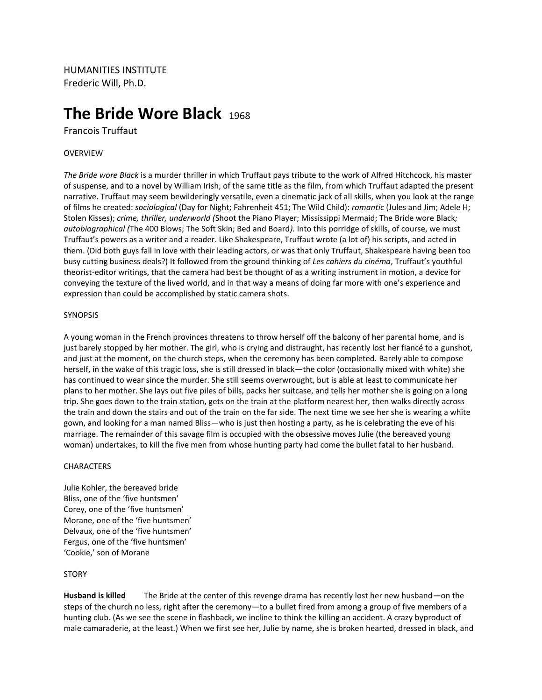HUMANITIES INSTITUTE Frederic Will, Ph.D.

# **The Bride Wore Black 1968**

Francois Truffaut

## OVERVIEW

*The Bride wore Black* is a murder thriller in which Truffaut pays tribute to the work of Alfred Hitchcock, his master of suspense, and to a novel by William Irish, of the same title as the film, from which Truffaut adapted the present narrative. Truffaut may seem bewilderingly versatile, even a cinematic jack of all skills, when you look at the range of films he created: *sociological* (Day for Night; Fahrenheit 451; The Wild Child): *romantic* (Jules and Jim; Adele H; Stolen Kisses); *crime, thriller, underworld (*Shoot the Piano Player; Mississippi Mermaid; The Bride wore Black*; autobiographical (*The 400 Blows; The Soft Skin; Bed and Board*).* Into this porridge of skills, of course, we must Truffaut's powers as a writer and a reader. Like Shakespeare, Truffaut wrote (a lot of) his scripts, and acted in them. (Did both guys fall in love with their leading actors, or was that only Truffaut, Shakespeare having been too busy cutting business deals?) It followed from the ground thinking of *Les cahiers du cinéma*, Truffaut's youthful theorist-editor writings, that the camera had best be thought of as a writing instrument in motion, a device for conveying the texture of the lived world, and in that way a means of doing far more with one's experience and expression than could be accomplished by static camera shots.

#### **SYNOPSIS**

A young woman in the French provinces threatens to throw herself off the balcony of her parental home, and is just barely stopped by her mother. The girl, who is crying and distraught, has recently lost her fiancé to a gunshot, and just at the moment, on the church steps, when the ceremony has been completed. Barely able to compose herself, in the wake of this tragic loss, she is still dressed in black—the color (occasionally mixed with white) she has continued to wear since the murder. She still seems overwrought, but is able at least to communicate her plans to her mother. She lays out five piles of bills, packs her suitcase, and tells her mother she is going on a long trip. She goes down to the train station, gets on the train at the platform nearest her, then walks directly across the train and down the stairs and out of the train on the far side. The next time we see her she is wearing a white gown, and looking for a man named Bliss—who is just then hosting a party, as he is celebrating the eve of his marriage. The remainder of this savage film is occupied with the obsessive moves Julie (the bereaved young woman) undertakes, to kill the five men from whose hunting party had come the bullet fatal to her husband.

#### CHARACTERS

Julie Kohler, the bereaved bride Bliss, one of the 'five huntsmen' Corey, one of the 'five huntsmen' Morane, one of the 'five huntsmen' Delvaux, one of the 'five huntsmen' Fergus, one of the 'five huntsmen' 'Cookie,' son of Morane

#### STORY

**Husband is killed** The Bride at the center of this revenge drama has recently lost her new husband—on the steps of the church no less, right after the ceremony—to a bullet fired from among a group of five members of a hunting club. (As we see the scene in flashback, we incline to think the killing an accident. A crazy byproduct of male camaraderie, at the least.) When we first see her, Julie by name, she is broken hearted, dressed in black, and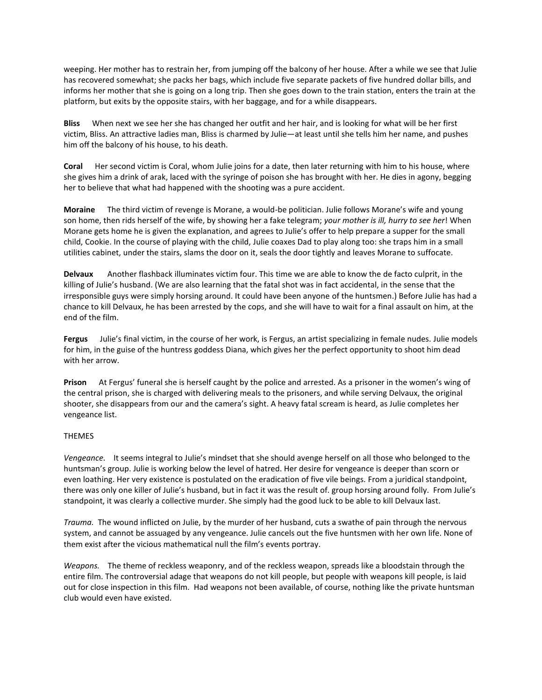weeping. Her mother has to restrain her, from jumping off the balcony of her house. After a while we see that Julie has recovered somewhat; she packs her bags, which include five separate packets of five hundred dollar bills, and informs her mother that she is going on a long trip. Then she goes down to the train station, enters the train at the platform, but exits by the opposite stairs, with her baggage, and for a while disappears.

**Bliss** When next we see her she has changed her outfit and her hair, and is looking for what will be her first victim, Bliss. An attractive ladies man, Bliss is charmed by Julie—at least until she tells him her name, and pushes him off the balcony of his house, to his death.

**Coral** Her second victim is Coral, whom Julie joins for a date, then later returning with him to his house, where she gives him a drink of arak, laced with the syringe of poison she has brought with her. He dies in agony, begging her to believe that what had happened with the shooting was a pure accident.

**Moraine** The third victim of revenge is Morane, a would-be politician. Julie follows Morane's wife and young son home, then rids herself of the wife, by showing her a fake telegram; *your mother is ill, hurry to see her*! When Morane gets home he is given the explanation, and agrees to Julie's offer to help prepare a supper for the small child, Cookie. In the course of playing with the child, Julie coaxes Dad to play along too: she traps him in a small utilities cabinet, under the stairs, slams the door on it, seals the door tightly and leaves Morane to suffocate.

**Delvaux** Another flashback illuminates victim four. This time we are able to know the de facto culprit, in the killing of Julie's husband. (We are also learning that the fatal shot was in fact accidental, in the sense that the irresponsible guys were simply horsing around. It could have been anyone of the huntsmen.) Before Julie has had a chance to kill Delvaux, he has been arrested by the cops, and she will have to wait for a final assault on him, at the end of the film.

**Fergus** Julie's final victim, in the course of her work, is Fergus, an artist specializing in female nudes. Julie models for him, in the guise of the huntress goddess Diana, which gives her the perfect opportunity to shoot him dead with her arrow.

**Prison** At Fergus' funeral she is herself caught by the police and arrested. As a prisoner in the women's wing of the central prison, she is charged with delivering meals to the prisoners, and while serving Delvaux, the original shooter, she disappears from our and the camera's sight. A heavy fatal scream is heard, as Julie completes her vengeance list.

## THEMES

*Vengeance.* It seems integral to Julie's mindset that she should avenge herself on all those who belonged to the huntsman's group. Julie is working below the level of hatred. Her desire for vengeance is deeper than scorn or even loathing. Her very existence is postulated on the eradication of five vile beings. From a juridical standpoint, there was only one killer of Julie's husband, but in fact it was the result of. group horsing around folly. From Julie's standpoint, it was clearly a collective murder. She simply had the good luck to be able to kill Delvaux last.

*Trauma.* The wound inflicted on Julie, by the murder of her husband, cuts a swathe of pain through the nervous system, and cannot be assuaged by any vengeance. Julie cancels out the five huntsmen with her own life. None of them exist after the vicious mathematical null the film's events portray.

*Weapons.* The theme of reckless weaponry, and of the reckless weapon, spreads like a bloodstain through the entire film. The controversial adage that weapons do not kill people, but people with weapons kill people, is laid out for close inspection in this film. Had weapons not been available, of course, nothing like the private huntsman club would even have existed.